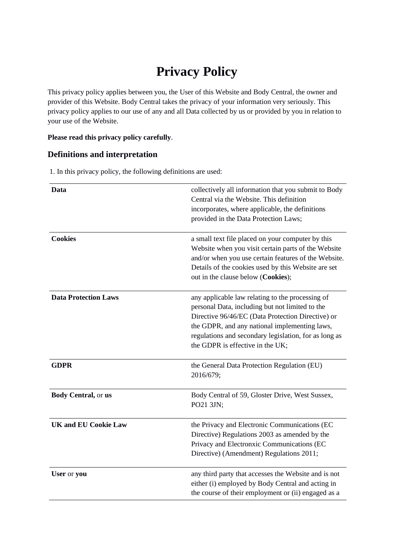# **Privacy Policy**

This privacy policy applies between you, the User of this Website and Body Central, the owner and provider of this Website. Body Central takes the privacy of your information very seriously. This privacy policy applies to our use of any and all Data collected by us or provided by you in relation to your use of the Website.

## **Please read this privacy policy carefully**.

# **Definitions and interpretation**

1. In this privacy policy, the following definitions are used:

| Data                        | collectively all information that you submit to Body<br>Central via the Website. This definition<br>incorporates, where applicable, the definitions<br>provided in the Data Protection Laws;                                                                                                           |
|-----------------------------|--------------------------------------------------------------------------------------------------------------------------------------------------------------------------------------------------------------------------------------------------------------------------------------------------------|
| <b>Cookies</b>              | a small text file placed on your computer by this<br>Website when you visit certain parts of the Website<br>and/or when you use certain features of the Website.<br>Details of the cookies used by this Website are set<br>out in the clause below (Cookies);                                          |
| <b>Data Protection Laws</b> | any applicable law relating to the processing of<br>personal Data, including but not limited to the<br>Directive 96/46/EC (Data Protection Directive) or<br>the GDPR, and any national implementing laws,<br>regulations and secondary legislation, for as long as<br>the GDPR is effective in the UK; |
| <b>GDPR</b>                 | the General Data Protection Regulation (EU)<br>2016/679;                                                                                                                                                                                                                                               |
| Body Central, or us         | Body Central of 59, Gloster Drive, West Sussex,<br>PO21 3JN;                                                                                                                                                                                                                                           |
| <b>UK and EU Cookie Law</b> | the Privacy and Electronic Communications (EC<br>Directive) Regulations 2003 as amended by the<br>Privacy and Electronxic Communications (EC<br>Directive) (Amendment) Regulations 2011;                                                                                                               |
| User or you                 | any third party that accesses the Website and is not<br>either (i) employed by Body Central and acting in<br>the course of their employment or (ii) engaged as a                                                                                                                                       |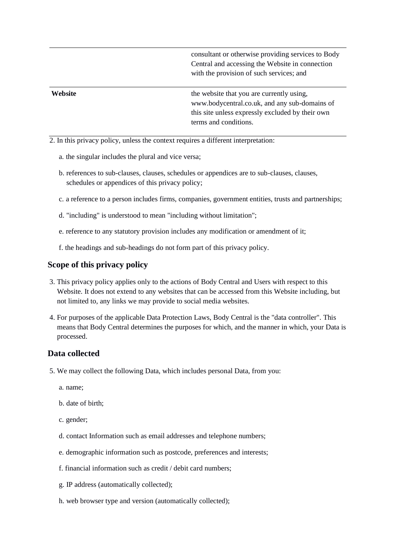consultant or otherwise providing services to Body Central and accessing the Website in connection with the provision of such services; and

**Website** that you are currently using, www.bodycentral.co.uk, and any sub-domains of this site unless expressly excluded by their own terms and conditions.

2. In this privacy policy, unless the context requires a different interpretation:

- a. the singular includes the plural and vice versa;
- b. references to sub-clauses, clauses, schedules or appendices are to sub-clauses, clauses, schedules or appendices of this privacy policy;
- c. a reference to a person includes firms, companies, government entities, trusts and partnerships;
- d. "including" is understood to mean "including without limitation";
- e. reference to any statutory provision includes any modification or amendment of it;
- f. the headings and sub-headings do not form part of this privacy policy.

#### **Scope of this privacy policy**

- 3. This privacy policy applies only to the actions of Body Central and Users with respect to this Website. It does not extend to any websites that can be accessed from this Website including, but not limited to, any links we may provide to social media websites.
- 4. For purposes of the applicable Data Protection Laws, Body Central is the "data controller". This means that Body Central determines the purposes for which, and the manner in which, your Data is processed.

## **Data collected**

- 5. We may collect the following Data, which includes personal Data, from you:
	- a. name;
	- b. date of birth;
	- c. gender;
	- d. contact Information such as email addresses and telephone numbers;
	- e. demographic information such as postcode, preferences and interests;
	- f. financial information such as credit / debit card numbers;
	- g. IP address (automatically collected);
	- h. web browser type and version (automatically collected);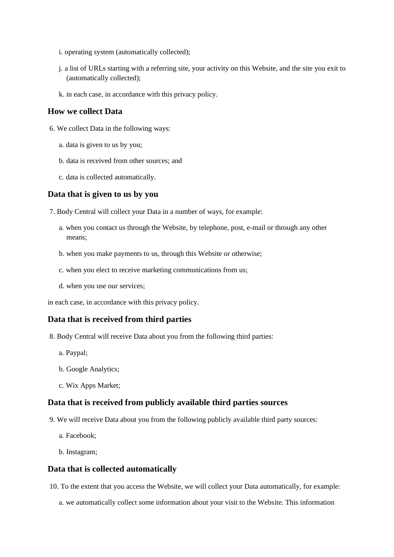- i. operating system (automatically collected);
- j. a list of URLs starting with a referring site, your activity on this Website, and the site you exit to (automatically collected);
- k. in each case, in accordance with this privacy policy.

## **How we collect Data**

- 6. We collect Data in the following ways:
	- a. data is given to us by you;
	- b. data is received from other sources; and
	- c. data is collected automatically.

#### **Data that is given to us by you**

- 7. Body Central will collect your Data in a number of ways, for example:
	- a. when you contact us through the Website, by telephone, post, e-mail or through any other means;
	- b. when you make payments to us, through this Website or otherwise;
	- c. when you elect to receive marketing communications from us;
	- d. when you use our services;

in each case, in accordance with this privacy policy.

### **Data that is received from third parties**

- 8. Body Central will receive Data about you from the following third parties:
	- a. Paypal;
	- b. Google Analytics;
	- c. Wix Apps Market;

# **Data that is received from publicly available third parties sources**

- 9. We will receive Data about you from the following publicly available third party sources:
	- a. Facebook;
	- b. Instagram;

#### **Data that is collected automatically**

- 10. To the extent that you access the Website, we will collect your Data automatically, for example:
	- a. we automatically collect some information about your visit to the Website. This information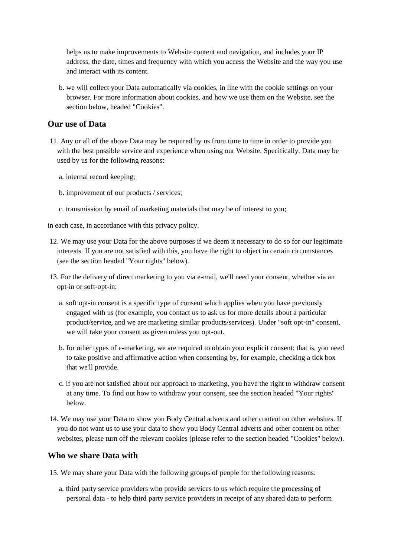helps us to make improvements to Website content and navigation, and includes your IP address, the date, times and frequency with which you access the Website and the way you use and interact with its content.

b. we will collect your Data automatically via cookies, in line with the cookie settings on your browser. For more information about cookies, and how we use them on the Website, see the section below, headed "Cookies".

## **Our use of Data**

- 11. Any or all of the above Data may be required by us from time to time in order to provide you with the best possible service and experience when using our Website. Specifically, Data may be used by us for the following reasons:
	- a. internal record keeping;
	- b. improvement of our products / services;
	- c. transmission by email of marketing materials that may be of interest to you;

in each case, in accordance with this privacy policy.

- 12. We may use your Data for the above purposes if we deem it necessary to do so for our legitimate interests. If you are not satisfied with this, you have the right to object in certain circumstances (see the section headed "Your rights" below).
- 13. For the delivery of direct marketing to you via e-mail, we'll need your consent, whether via an opt-in or soft-opt-in:
	- a. soft opt-in consent is a specific type of consent which applies when you have previously engaged with us (for example, you contact us to ask us for more details about a particular product/service, and we are marketing similar products/services). Under "soft opt-in" consent, we will take your consent as given unless you opt-out.
	- b. for other types of e-marketing, we are required to obtain your explicit consent; that is, you need to take positive and affirmative action when consenting by, for example, checking a tick box that we'll provide.
	- c. if you are not satisfied about our approach to marketing, you have the right to withdraw consent at any time. To find out how to withdraw your consent, see the section headed "Your rights" below.
- 14. We may use your Data to show you Body Central adverts and other content on other websites. If you do not want us to use your data to show you Body Central adverts and other content on other websites, please turn off the relevant cookies (please refer to the section headed "Cookies" below).

### **Who we share Data with**

- 15. We may share your Data with the following groups of people for the following reasons:
	- a. third party service providers who provide services to us which require the processing of personal data - to help third party service providers in receipt of any shared data to perform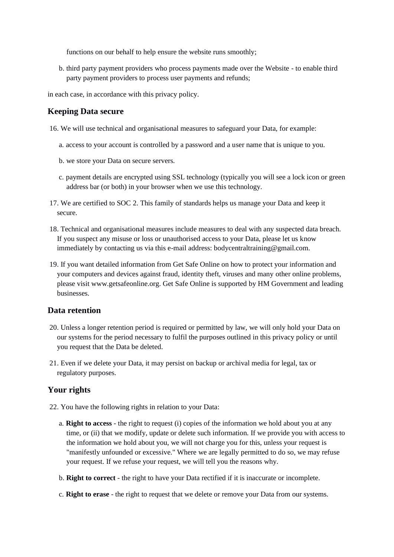functions on our behalf to help ensure the website runs smoothly;

b. third party payment providers who process payments made over the Website - to enable third party payment providers to process user payments and refunds;

in each case, in accordance with this privacy policy.

## **Keeping Data secure**

- 16. We will use technical and organisational measures to safeguard your Data, for example:
	- a. access to your account is controlled by a password and a user name that is unique to you.
	- b. we store your Data on secure servers.
	- c. payment details are encrypted using SSL technology (typically you will see a lock icon or green address bar (or both) in your browser when we use this technology.
- 17. We are certified to SOC 2. This family of standards helps us manage your Data and keep it secure.
- 18. Technical and organisational measures include measures to deal with any suspected data breach. If you suspect any misuse or loss or unauthorised access to your Data, please let us know immediately by contacting us via this e-mail address: bodycentraltraining@gmail.com.
- 19. If you want detailed information from Get Safe Online on how to protect your information and your computers and devices against fraud, identity theft, viruses and many other online problems, please visit www.getsafeonline.org. Get Safe Online is supported by HM Government and leading businesses.

### **Data retention**

- 20. Unless a longer retention period is required or permitted by law, we will only hold your Data on our systems for the period necessary to fulfil the purposes outlined in this privacy policy or until you request that the Data be deleted.
- 21. Even if we delete your Data, it may persist on backup or archival media for legal, tax or regulatory purposes.

# **Your rights**

- 22. You have the following rights in relation to your Data:
	- a. **Right to access** the right to request (i) copies of the information we hold about you at any time, or (ii) that we modify, update or delete such information. If we provide you with access to the information we hold about you, we will not charge you for this, unless your request is "manifestly unfounded or excessive." Where we are legally permitted to do so, we may refuse your request. If we refuse your request, we will tell you the reasons why.
	- b. **Right to correct** the right to have your Data rectified if it is inaccurate or incomplete.
	- c. **Right to erase** the right to request that we delete or remove your Data from our systems.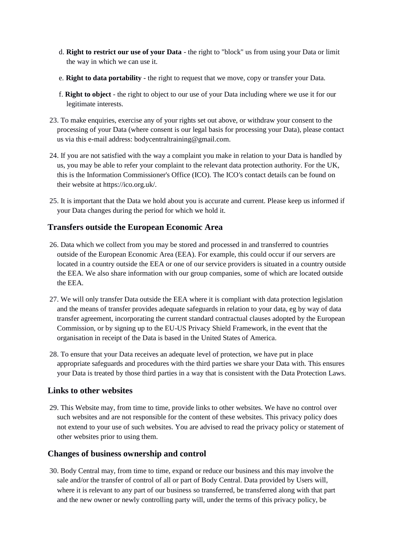- d. **Right to restrict our use of your Data** the right to "block" us from using your Data or limit the way in which we can use it.
- e. **Right to data portability** the right to request that we move, copy or transfer your Data.
- f. **Right to object** the right to object to our use of your Data including where we use it for our legitimate interests.
- 23. To make enquiries, exercise any of your rights set out above, or withdraw your consent to the processing of your Data (where consent is our legal basis for processing your Data), please contact us via this e-mail address: bodycentraltraining@gmail.com.
- 24. If you are not satisfied with the way a complaint you make in relation to your Data is handled by us, you may be able to refer your complaint to the relevant data protection authority. For the UK, this is the Information Commissioner's Office (ICO). The ICO's contact details can be found on their website at https://ico.org.uk/.
- 25. It is important that the Data we hold about you is accurate and current. Please keep us informed if your Data changes during the period for which we hold it.

# **Transfers outside the European Economic Area**

- 26. Data which we collect from you may be stored and processed in and transferred to countries outside of the European Economic Area (EEA). For example, this could occur if our servers are located in a country outside the EEA or one of our service providers is situated in a country outside the EEA. We also share information with our group companies, some of which are located outside the EEA.
- 27. We will only transfer Data outside the EEA where it is compliant with data protection legislation and the means of transfer provides adequate safeguards in relation to your data, eg by way of data transfer agreement, incorporating the current standard contractual clauses adopted by the European Commission, or by signing up to the EU-US Privacy Shield Framework, in the event that the organisation in receipt of the Data is based in the United States of America.
- 28. To ensure that your Data receives an adequate level of protection, we have put in place appropriate safeguards and procedures with the third parties we share your Data with. This ensures your Data is treated by those third parties in a way that is consistent with the Data Protection Laws.

# **Links to other websites**

29. This Website may, from time to time, provide links to other websites. We have no control over such websites and are not responsible for the content of these websites. This privacy policy does not extend to your use of such websites. You are advised to read the privacy policy or statement of other websites prior to using them.

### **Changes of business ownership and control**

30. Body Central may, from time to time, expand or reduce our business and this may involve the sale and/or the transfer of control of all or part of Body Central. Data provided by Users will, where it is relevant to any part of our business so transferred, be transferred along with that part and the new owner or newly controlling party will, under the terms of this privacy policy, be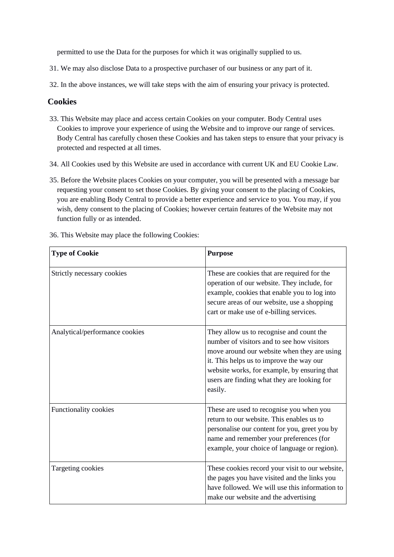permitted to use the Data for the purposes for which it was originally supplied to us.

- 31. We may also disclose Data to a prospective purchaser of our business or any part of it.
- 32. In the above instances, we will take steps with the aim of ensuring your privacy is protected.

## **Cookies**

- 33. This Website may place and access certain Cookies on your computer. Body Central uses Cookies to improve your experience of using the Website and to improve our range of services. Body Central has carefully chosen these Cookies and has taken steps to ensure that your privacy is protected and respected at all times.
- 34. All Cookies used by this Website are used in accordance with current UK and EU Cookie Law.
- 35. Before the Website places Cookies on your computer, you will be presented with a message bar requesting your consent to set those Cookies. By giving your consent to the placing of Cookies, you are enabling Body Central to provide a better experience and service to you. You may, if you wish, deny consent to the placing of Cookies; however certain features of the Website may not function fully or as intended.
- 36. This Website may place the following Cookies:

| <b>Type of Cookie</b>          | <b>Purpose</b>                                                                                                                                                                                                                                                                              |
|--------------------------------|---------------------------------------------------------------------------------------------------------------------------------------------------------------------------------------------------------------------------------------------------------------------------------------------|
| Strictly necessary cookies     | These are cookies that are required for the<br>operation of our website. They include, for<br>example, cookies that enable you to log into<br>secure areas of our website, use a shopping<br>cart or make use of e-billing services.                                                        |
| Analytical/performance cookies | They allow us to recognise and count the<br>number of visitors and to see how visitors<br>move around our website when they are using<br>it. This helps us to improve the way our<br>website works, for example, by ensuring that<br>users are finding what they are looking for<br>easily. |
| Functionality cookies          | These are used to recognise you when you<br>return to our website. This enables us to<br>personalise our content for you, greet you by<br>name and remember your preferences (for<br>example, your choice of language or region).                                                           |
| Targeting cookies              | These cookies record your visit to our website,<br>the pages you have visited and the links you<br>have followed. We will use this information to<br>make our website and the advertising                                                                                                   |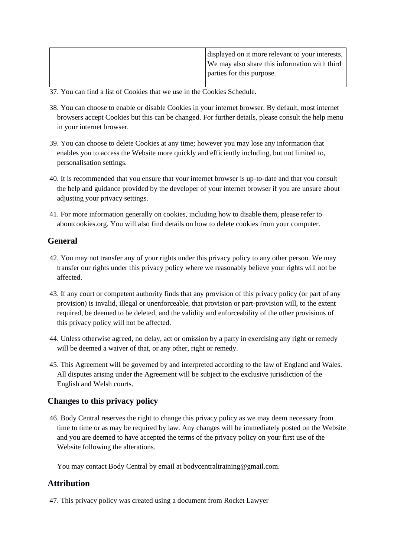| displayed on it more relevant to your interests. |
|--------------------------------------------------|
| We may also share this information with third    |
| parties for this purpose.                        |
|                                                  |

37. You can find a list of Cookies that we use in the Cookies Schedule.

- 38. You can choose to enable or disable Cookies in your internet browser. By default, most internet browsers accept Cookies but this can be changed. For further details, please consult the help menu in your internet browser.
- 39. You can choose to delete Cookies at any time; however you may lose any information that enables you to access the Website more quickly and efficiently including, but not limited to, personalisation settings.
- 40. It is recommended that you ensure that your internet browser is up-to-date and that you consult the help and guidance provided by the developer of your internet browser if you are unsure about adjusting your privacy settings.
- 41. For more information generally on cookies, including how to disable them, please refer to aboutcookies.org. You will also find details on how to delete cookies from your computer.

# **General**

- 42. You may not transfer any of your rights under this privacy policy to any other person. We may transfer our rights under this privacy policy where we reasonably believe your rights will not be affected.
- 43. If any court or competent authority finds that any provision of this privacy policy (or part of any provision) is invalid, illegal or unenforceable, that provision or part-provision will, to the extent required, be deemed to be deleted, and the validity and enforceability of the other provisions of this privacy policy will not be affected.
- 44. Unless otherwise agreed, no delay, act or omission by a party in exercising any right or remedy will be deemed a waiver of that, or any other, right or remedy.
- 45. This Agreement will be governed by and interpreted according to the law of England and Wales. All disputes arising under the Agreement will be subject to the exclusive jurisdiction of the English and Welsh courts.

# **Changes to this privacy policy**

46. Body Central reserves the right to change this privacy policy as we may deem necessary from time to time or as may be required by law. Any changes will be immediately posted on the Website and you are deemed to have accepted the terms of the privacy policy on your first use of the Website following the alterations.

You may contact Body Central by email at bodycentraltraining@gmail.com.

## **Attribution**

47. This privacy policy was created using a document from Rocket Lawyer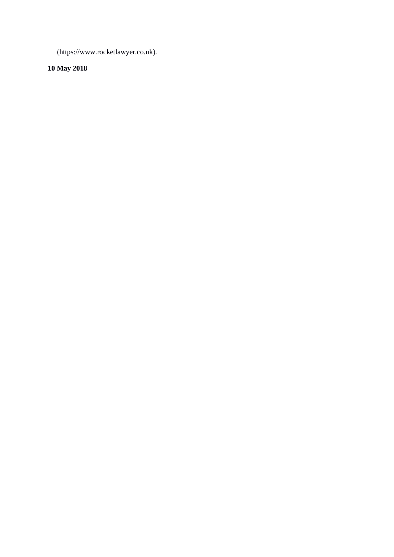(https://www.rocketlawyer.co.uk).

# **10 May 2018**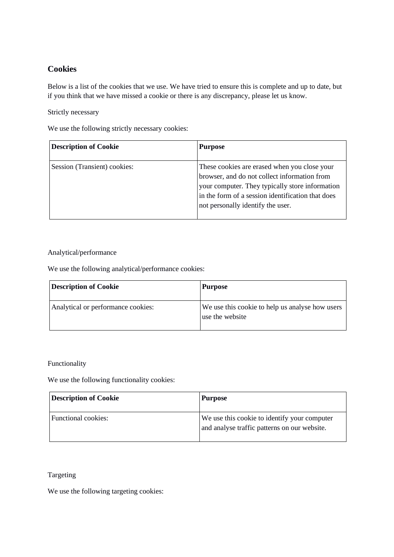# **Cookies**

Below is a list of the cookies that we use. We have tried to ensure this is complete and up to date, but if you think that we have missed a cookie or there is any discrepancy, please let us know.

Strictly necessary

We use the following strictly necessary cookies:

| <b>Description of Cookie</b> | <b>Purpose</b>                                                                                                                                                                                                                            |
|------------------------------|-------------------------------------------------------------------------------------------------------------------------------------------------------------------------------------------------------------------------------------------|
| Session (Transient) cookies: | These cookies are erased when you close your<br>browser, and do not collect information from<br>your computer. They typically store information<br>in the form of a session identification that does<br>not personally identify the user. |

#### Analytical/performance

We use the following analytical/performance cookies:

| <b>Description of Cookie</b>       | <b>Purpose</b>                                                     |
|------------------------------------|--------------------------------------------------------------------|
| Analytical or performance cookies: | We use this cookie to help us analyse how users<br>use the website |

#### Functionality

We use the following functionality cookies:

| <b>Description of Cookie</b> | <b>Purpose</b>                                                                               |
|------------------------------|----------------------------------------------------------------------------------------------|
| Functional cookies:          | We use this cookie to identify your computer<br>and analyse traffic patterns on our website. |

# Targeting

We use the following targeting cookies: